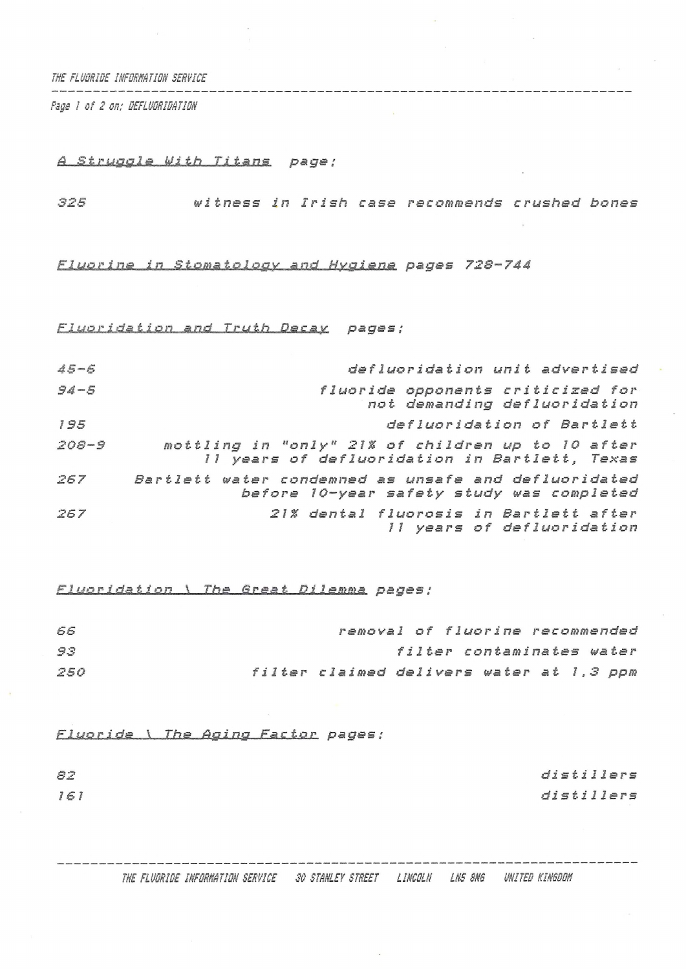*THE FLUSRIBE INFORHRTIM SERVICE* 

*Psge I of 2 on; QEFLMRIWTIIIN*

## *<sup>A</sup> Struggle Mi th Titans page;*

*<sup>325</sup> witness in Irish* case *recommends crushed bones*

## £jJŕá2JLÍJlfi\_\_í^\_^Oä£láXfiXaffX^Jl^\_^£gXgJ2^ *pages 728-744*

Fluoridation and Truth Decay pages;

| $45 - 6$  | defluoridation unit advertised                                                                     |
|-----------|----------------------------------------------------------------------------------------------------|
| $94 - 5$  | fluoride opponents criticized for<br>not demanding defluoridation                                  |
| 195       | defluoridation of Bartlett                                                                         |
| $208 - 9$ | mottling in "only" 21% of children up to 10 after<br>11 years of defluoridation in Bartlett, Texas |
| 267       | Bartlett water condemned as unsafe and defluoridated<br>before 10-year safety study was completed  |
| 267       | 21% dental fluorosis in Bartlett after<br>Il years of defluoridation                               |

*£JjđdJZd-dA±J on \ The Sreat Dilemma pages ;*

| 66  | removal of fluorine recommended          |  |  |                           |  |  |
|-----|------------------------------------------|--|--|---------------------------|--|--|
| 93  |                                          |  |  | filter contaminates water |  |  |
| 250 | filter claimed delivers water at 1,3 ppm |  |  |                           |  |  |

**Fluoride \ The Aging Factor pages;** 

*distiller<sup>s</sup> distillers*

*82*

*161*